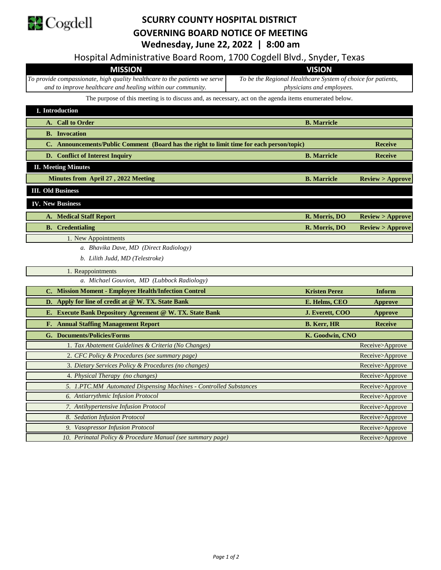

## **SCURRY COUNTY HOSPITAL DISTRICT GOVERNING BOARD NOTICE OF MEETING Wednesday, June 22, 2022 | 8:00 am**

| Hospital Administrative Board Room, 1700 Cogdell Blvd., Snyder, Texas<br><b>MISSION</b><br><b>VISION</b><br>To provide compassionate, high quality healthcare to the patients we serve<br>To be the Regional Healthcare System of choice for patients,<br>and to improve healthcare and healing within our community.<br>physicians and employees.<br>The purpose of this meeting is to discuss and, as necessary, act on the agenda items enumerated below.<br>I. Introduction<br>A. Call to Order<br><b>B.</b> Marricle<br><b>B.</b> Invocation<br>C. Announcements/Public Comment (Board has the right to limit time for each person/topic)<br><b>Receive</b><br><b>B.</b> Marricle<br>D. Conflict of Interest Inquiry<br><b>Receive</b><br><b>II. Meeting Minutes</b><br>Minutes from April 27, 2022 Meeting<br><b>B.</b> Marricle<br>Review > Approve<br><b>III.</b> Old Business<br><b>IV. New Business</b><br>R. Morris, DO<br><b>A. Medical Staff Report</b><br>Review > Approve<br><b>B.</b> Credentialing<br>R. Morris, DO<br>Review > Approve<br>1. New Appointments<br>a. Bhavika Dave, MD (Direct Radiology)<br>b. Lilith Judd, MD (Telestroke)<br>1. Reappointments<br>a. Michael Gouvion, MD (Lubbock Radiology)<br>C. Mission Moment - Employee Health/Infection Control<br><b>Kristen Perez</b><br>Inform<br>D. Apply for line of credit at @ W. TX. State Bank<br>E. Helms, CEO<br><b>Approve</b><br>E. Execute Bank Depository Agreement @ W. TX. State Bank<br>J. Everett, COO<br><b>Approve</b><br><b>F.</b> Annual Staffing Management Report<br><b>B. Kerr, HR</b><br><b>Receive</b><br>G. Documents/Policies/Forms<br>K. Goodwin, CNO<br>1. Tax Abatement Guidelines & Criteria (No Changes)<br>Receive>Approve<br>2. CFC Policy & Procedures (see summary page)<br>Receive>Approve<br>3. Dietary Services Policy & Procedures (no changes)<br>Receive>Approve<br>4. Physical Therapy (no changes)<br>Receive>Approve<br>5. 1.PTC.MM Automated Dispensing Machines - Controlled Substances<br>Receive>Approve<br>6. Antiarrythmic Infusion Protocol<br>Receive>Approve<br>7. Antihypertensive Infusion Protocol<br>Receive>Approve<br>8. Sedation Infusion Protocol<br>Receive>Approve<br>9. Vasopressor Infusion Protocol<br>Receive>Approve<br>10. Perinatal Policy & Procedure Manual (see summary page)<br>Receive>Approve | weanesday, june 22, 2022   8:00 am |  |  |
|--------------------------------------------------------------------------------------------------------------------------------------------------------------------------------------------------------------------------------------------------------------------------------------------------------------------------------------------------------------------------------------------------------------------------------------------------------------------------------------------------------------------------------------------------------------------------------------------------------------------------------------------------------------------------------------------------------------------------------------------------------------------------------------------------------------------------------------------------------------------------------------------------------------------------------------------------------------------------------------------------------------------------------------------------------------------------------------------------------------------------------------------------------------------------------------------------------------------------------------------------------------------------------------------------------------------------------------------------------------------------------------------------------------------------------------------------------------------------------------------------------------------------------------------------------------------------------------------------------------------------------------------------------------------------------------------------------------------------------------------------------------------------------------------------------------------------------------------------------------------------------------------------------------------------------------------------------------------------------------------------------------------------------------------------------------------------------------------------------------------------------------------------------------------------------------------------------------------------------------------------------------------------------------------------------------------------------------------------------|------------------------------------|--|--|
|                                                                                                                                                                                                                                                                                                                                                                                                                                                                                                                                                                                                                                                                                                                                                                                                                                                                                                                                                                                                                                                                                                                                                                                                                                                                                                                                                                                                                                                                                                                                                                                                                                                                                                                                                                                                                                                                                                                                                                                                                                                                                                                                                                                                                                                                                                                                                        |                                    |  |  |
|                                                                                                                                                                                                                                                                                                                                                                                                                                                                                                                                                                                                                                                                                                                                                                                                                                                                                                                                                                                                                                                                                                                                                                                                                                                                                                                                                                                                                                                                                                                                                                                                                                                                                                                                                                                                                                                                                                                                                                                                                                                                                                                                                                                                                                                                                                                                                        |                                    |  |  |
|                                                                                                                                                                                                                                                                                                                                                                                                                                                                                                                                                                                                                                                                                                                                                                                                                                                                                                                                                                                                                                                                                                                                                                                                                                                                                                                                                                                                                                                                                                                                                                                                                                                                                                                                                                                                                                                                                                                                                                                                                                                                                                                                                                                                                                                                                                                                                        |                                    |  |  |
|                                                                                                                                                                                                                                                                                                                                                                                                                                                                                                                                                                                                                                                                                                                                                                                                                                                                                                                                                                                                                                                                                                                                                                                                                                                                                                                                                                                                                                                                                                                                                                                                                                                                                                                                                                                                                                                                                                                                                                                                                                                                                                                                                                                                                                                                                                                                                        |                                    |  |  |
|                                                                                                                                                                                                                                                                                                                                                                                                                                                                                                                                                                                                                                                                                                                                                                                                                                                                                                                                                                                                                                                                                                                                                                                                                                                                                                                                                                                                                                                                                                                                                                                                                                                                                                                                                                                                                                                                                                                                                                                                                                                                                                                                                                                                                                                                                                                                                        |                                    |  |  |
|                                                                                                                                                                                                                                                                                                                                                                                                                                                                                                                                                                                                                                                                                                                                                                                                                                                                                                                                                                                                                                                                                                                                                                                                                                                                                                                                                                                                                                                                                                                                                                                                                                                                                                                                                                                                                                                                                                                                                                                                                                                                                                                                                                                                                                                                                                                                                        |                                    |  |  |
|                                                                                                                                                                                                                                                                                                                                                                                                                                                                                                                                                                                                                                                                                                                                                                                                                                                                                                                                                                                                                                                                                                                                                                                                                                                                                                                                                                                                                                                                                                                                                                                                                                                                                                                                                                                                                                                                                                                                                                                                                                                                                                                                                                                                                                                                                                                                                        |                                    |  |  |
|                                                                                                                                                                                                                                                                                                                                                                                                                                                                                                                                                                                                                                                                                                                                                                                                                                                                                                                                                                                                                                                                                                                                                                                                                                                                                                                                                                                                                                                                                                                                                                                                                                                                                                                                                                                                                                                                                                                                                                                                                                                                                                                                                                                                                                                                                                                                                        |                                    |  |  |
|                                                                                                                                                                                                                                                                                                                                                                                                                                                                                                                                                                                                                                                                                                                                                                                                                                                                                                                                                                                                                                                                                                                                                                                                                                                                                                                                                                                                                                                                                                                                                                                                                                                                                                                                                                                                                                                                                                                                                                                                                                                                                                                                                                                                                                                                                                                                                        |                                    |  |  |
|                                                                                                                                                                                                                                                                                                                                                                                                                                                                                                                                                                                                                                                                                                                                                                                                                                                                                                                                                                                                                                                                                                                                                                                                                                                                                                                                                                                                                                                                                                                                                                                                                                                                                                                                                                                                                                                                                                                                                                                                                                                                                                                                                                                                                                                                                                                                                        |                                    |  |  |
|                                                                                                                                                                                                                                                                                                                                                                                                                                                                                                                                                                                                                                                                                                                                                                                                                                                                                                                                                                                                                                                                                                                                                                                                                                                                                                                                                                                                                                                                                                                                                                                                                                                                                                                                                                                                                                                                                                                                                                                                                                                                                                                                                                                                                                                                                                                                                        |                                    |  |  |
|                                                                                                                                                                                                                                                                                                                                                                                                                                                                                                                                                                                                                                                                                                                                                                                                                                                                                                                                                                                                                                                                                                                                                                                                                                                                                                                                                                                                                                                                                                                                                                                                                                                                                                                                                                                                                                                                                                                                                                                                                                                                                                                                                                                                                                                                                                                                                        |                                    |  |  |
|                                                                                                                                                                                                                                                                                                                                                                                                                                                                                                                                                                                                                                                                                                                                                                                                                                                                                                                                                                                                                                                                                                                                                                                                                                                                                                                                                                                                                                                                                                                                                                                                                                                                                                                                                                                                                                                                                                                                                                                                                                                                                                                                                                                                                                                                                                                                                        |                                    |  |  |
|                                                                                                                                                                                                                                                                                                                                                                                                                                                                                                                                                                                                                                                                                                                                                                                                                                                                                                                                                                                                                                                                                                                                                                                                                                                                                                                                                                                                                                                                                                                                                                                                                                                                                                                                                                                                                                                                                                                                                                                                                                                                                                                                                                                                                                                                                                                                                        |                                    |  |  |
|                                                                                                                                                                                                                                                                                                                                                                                                                                                                                                                                                                                                                                                                                                                                                                                                                                                                                                                                                                                                                                                                                                                                                                                                                                                                                                                                                                                                                                                                                                                                                                                                                                                                                                                                                                                                                                                                                                                                                                                                                                                                                                                                                                                                                                                                                                                                                        |                                    |  |  |
|                                                                                                                                                                                                                                                                                                                                                                                                                                                                                                                                                                                                                                                                                                                                                                                                                                                                                                                                                                                                                                                                                                                                                                                                                                                                                                                                                                                                                                                                                                                                                                                                                                                                                                                                                                                                                                                                                                                                                                                                                                                                                                                                                                                                                                                                                                                                                        |                                    |  |  |
|                                                                                                                                                                                                                                                                                                                                                                                                                                                                                                                                                                                                                                                                                                                                                                                                                                                                                                                                                                                                                                                                                                                                                                                                                                                                                                                                                                                                                                                                                                                                                                                                                                                                                                                                                                                                                                                                                                                                                                                                                                                                                                                                                                                                                                                                                                                                                        |                                    |  |  |
|                                                                                                                                                                                                                                                                                                                                                                                                                                                                                                                                                                                                                                                                                                                                                                                                                                                                                                                                                                                                                                                                                                                                                                                                                                                                                                                                                                                                                                                                                                                                                                                                                                                                                                                                                                                                                                                                                                                                                                                                                                                                                                                                                                                                                                                                                                                                                        |                                    |  |  |
|                                                                                                                                                                                                                                                                                                                                                                                                                                                                                                                                                                                                                                                                                                                                                                                                                                                                                                                                                                                                                                                                                                                                                                                                                                                                                                                                                                                                                                                                                                                                                                                                                                                                                                                                                                                                                                                                                                                                                                                                                                                                                                                                                                                                                                                                                                                                                        |                                    |  |  |
|                                                                                                                                                                                                                                                                                                                                                                                                                                                                                                                                                                                                                                                                                                                                                                                                                                                                                                                                                                                                                                                                                                                                                                                                                                                                                                                                                                                                                                                                                                                                                                                                                                                                                                                                                                                                                                                                                                                                                                                                                                                                                                                                                                                                                                                                                                                                                        |                                    |  |  |
|                                                                                                                                                                                                                                                                                                                                                                                                                                                                                                                                                                                                                                                                                                                                                                                                                                                                                                                                                                                                                                                                                                                                                                                                                                                                                                                                                                                                                                                                                                                                                                                                                                                                                                                                                                                                                                                                                                                                                                                                                                                                                                                                                                                                                                                                                                                                                        |                                    |  |  |
|                                                                                                                                                                                                                                                                                                                                                                                                                                                                                                                                                                                                                                                                                                                                                                                                                                                                                                                                                                                                                                                                                                                                                                                                                                                                                                                                                                                                                                                                                                                                                                                                                                                                                                                                                                                                                                                                                                                                                                                                                                                                                                                                                                                                                                                                                                                                                        |                                    |  |  |
|                                                                                                                                                                                                                                                                                                                                                                                                                                                                                                                                                                                                                                                                                                                                                                                                                                                                                                                                                                                                                                                                                                                                                                                                                                                                                                                                                                                                                                                                                                                                                                                                                                                                                                                                                                                                                                                                                                                                                                                                                                                                                                                                                                                                                                                                                                                                                        |                                    |  |  |
|                                                                                                                                                                                                                                                                                                                                                                                                                                                                                                                                                                                                                                                                                                                                                                                                                                                                                                                                                                                                                                                                                                                                                                                                                                                                                                                                                                                                                                                                                                                                                                                                                                                                                                                                                                                                                                                                                                                                                                                                                                                                                                                                                                                                                                                                                                                                                        |                                    |  |  |
|                                                                                                                                                                                                                                                                                                                                                                                                                                                                                                                                                                                                                                                                                                                                                                                                                                                                                                                                                                                                                                                                                                                                                                                                                                                                                                                                                                                                                                                                                                                                                                                                                                                                                                                                                                                                                                                                                                                                                                                                                                                                                                                                                                                                                                                                                                                                                        |                                    |  |  |
|                                                                                                                                                                                                                                                                                                                                                                                                                                                                                                                                                                                                                                                                                                                                                                                                                                                                                                                                                                                                                                                                                                                                                                                                                                                                                                                                                                                                                                                                                                                                                                                                                                                                                                                                                                                                                                                                                                                                                                                                                                                                                                                                                                                                                                                                                                                                                        |                                    |  |  |
|                                                                                                                                                                                                                                                                                                                                                                                                                                                                                                                                                                                                                                                                                                                                                                                                                                                                                                                                                                                                                                                                                                                                                                                                                                                                                                                                                                                                                                                                                                                                                                                                                                                                                                                                                                                                                                                                                                                                                                                                                                                                                                                                                                                                                                                                                                                                                        |                                    |  |  |
|                                                                                                                                                                                                                                                                                                                                                                                                                                                                                                                                                                                                                                                                                                                                                                                                                                                                                                                                                                                                                                                                                                                                                                                                                                                                                                                                                                                                                                                                                                                                                                                                                                                                                                                                                                                                                                                                                                                                                                                                                                                                                                                                                                                                                                                                                                                                                        |                                    |  |  |
|                                                                                                                                                                                                                                                                                                                                                                                                                                                                                                                                                                                                                                                                                                                                                                                                                                                                                                                                                                                                                                                                                                                                                                                                                                                                                                                                                                                                                                                                                                                                                                                                                                                                                                                                                                                                                                                                                                                                                                                                                                                                                                                                                                                                                                                                                                                                                        |                                    |  |  |
|                                                                                                                                                                                                                                                                                                                                                                                                                                                                                                                                                                                                                                                                                                                                                                                                                                                                                                                                                                                                                                                                                                                                                                                                                                                                                                                                                                                                                                                                                                                                                                                                                                                                                                                                                                                                                                                                                                                                                                                                                                                                                                                                                                                                                                                                                                                                                        |                                    |  |  |
|                                                                                                                                                                                                                                                                                                                                                                                                                                                                                                                                                                                                                                                                                                                                                                                                                                                                                                                                                                                                                                                                                                                                                                                                                                                                                                                                                                                                                                                                                                                                                                                                                                                                                                                                                                                                                                                                                                                                                                                                                                                                                                                                                                                                                                                                                                                                                        |                                    |  |  |
|                                                                                                                                                                                                                                                                                                                                                                                                                                                                                                                                                                                                                                                                                                                                                                                                                                                                                                                                                                                                                                                                                                                                                                                                                                                                                                                                                                                                                                                                                                                                                                                                                                                                                                                                                                                                                                                                                                                                                                                                                                                                                                                                                                                                                                                                                                                                                        |                                    |  |  |
|                                                                                                                                                                                                                                                                                                                                                                                                                                                                                                                                                                                                                                                                                                                                                                                                                                                                                                                                                                                                                                                                                                                                                                                                                                                                                                                                                                                                                                                                                                                                                                                                                                                                                                                                                                                                                                                                                                                                                                                                                                                                                                                                                                                                                                                                                                                                                        |                                    |  |  |
|                                                                                                                                                                                                                                                                                                                                                                                                                                                                                                                                                                                                                                                                                                                                                                                                                                                                                                                                                                                                                                                                                                                                                                                                                                                                                                                                                                                                                                                                                                                                                                                                                                                                                                                                                                                                                                                                                                                                                                                                                                                                                                                                                                                                                                                                                                                                                        |                                    |  |  |
|                                                                                                                                                                                                                                                                                                                                                                                                                                                                                                                                                                                                                                                                                                                                                                                                                                                                                                                                                                                                                                                                                                                                                                                                                                                                                                                                                                                                                                                                                                                                                                                                                                                                                                                                                                                                                                                                                                                                                                                                                                                                                                                                                                                                                                                                                                                                                        |                                    |  |  |
|                                                                                                                                                                                                                                                                                                                                                                                                                                                                                                                                                                                                                                                                                                                                                                                                                                                                                                                                                                                                                                                                                                                                                                                                                                                                                                                                                                                                                                                                                                                                                                                                                                                                                                                                                                                                                                                                                                                                                                                                                                                                                                                                                                                                                                                                                                                                                        |                                    |  |  |
|                                                                                                                                                                                                                                                                                                                                                                                                                                                                                                                                                                                                                                                                                                                                                                                                                                                                                                                                                                                                                                                                                                                                                                                                                                                                                                                                                                                                                                                                                                                                                                                                                                                                                                                                                                                                                                                                                                                                                                                                                                                                                                                                                                                                                                                                                                                                                        |                                    |  |  |